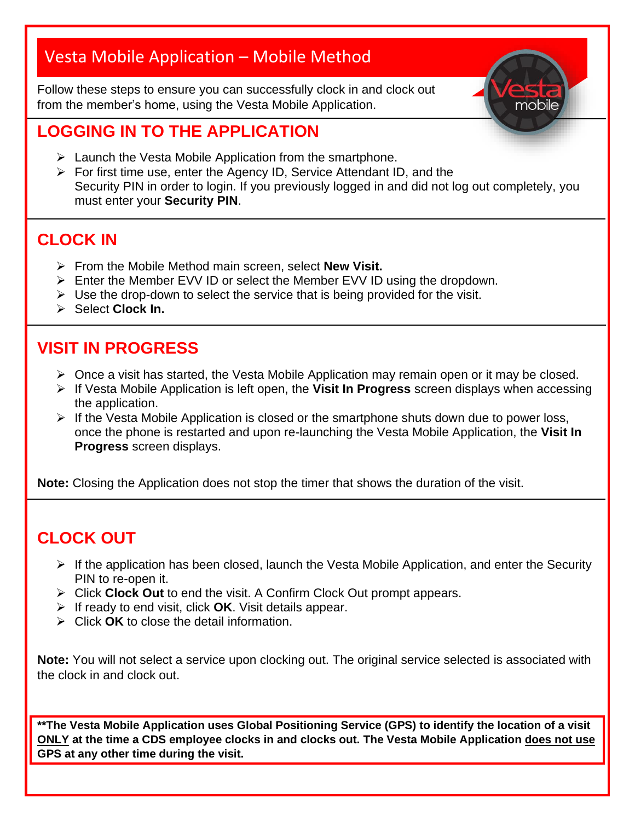# Vesta Mobile Application – Mobile Method

Follow these steps to ensure you can successfully clock in and clock out from the member's home, using the Vesta Mobile Application.



### **LOGGING IN TO THE APPLICATION**

- ➢ Launch the Vesta Mobile Application from the smartphone.
- ➢ For first time use, enter the Agency ID, Service Attendant ID, and the Security PIN in order to login. If you previously logged in and did not log out completely, you must enter your **Security PIN**.

### **CLOCK IN**

- ➢ From the Mobile Method main screen, select **New Visit.**
- ➢ Enter the Member EVV ID or select the Member EVV ID using the dropdown.
- $\triangleright$  Use the drop-down to select the service that is being provided for the visit.
- ➢ Select **Clock In.**

### **VISIT IN PROGRESS**

- $\triangleright$  Once a visit has started, the Vesta Mobile Application may remain open or it may be closed.
- ➢ If Vesta Mobile Application is left open, the **Visit In Progress** screen displays when accessing the application.
- ➢ If the Vesta Mobile Application is closed or the smartphone shuts down due to power loss, once the phone is restarted and upon re-launching the Vesta Mobile Application, the **Visit In Progress** screen displays.

**Note:** Closing the Application does not stop the timer that shows the duration of the visit.

### **CLOCK OUT**

- $\triangleright$  If the application has been closed, launch the Vesta Mobile Application, and enter the Security PIN to re-open it.
- ➢ Click **Clock Out** to end the visit. A Confirm Clock Out prompt appears.
- ➢ If ready to end visit, click **OK**. Visit details appear.
- ➢ Click **OK** to close the detail information.

**Note:** You will not select a service upon clocking out. The original service selected is associated with the clock in and clock out.

**\*\*The Vesta Mobile Application uses Global Positioning Service (GPS) to identify the location of a visit ONLY at the time a CDS employee clocks in and clocks out. The Vesta Mobile Application does not use GPS at any other time during the visit.**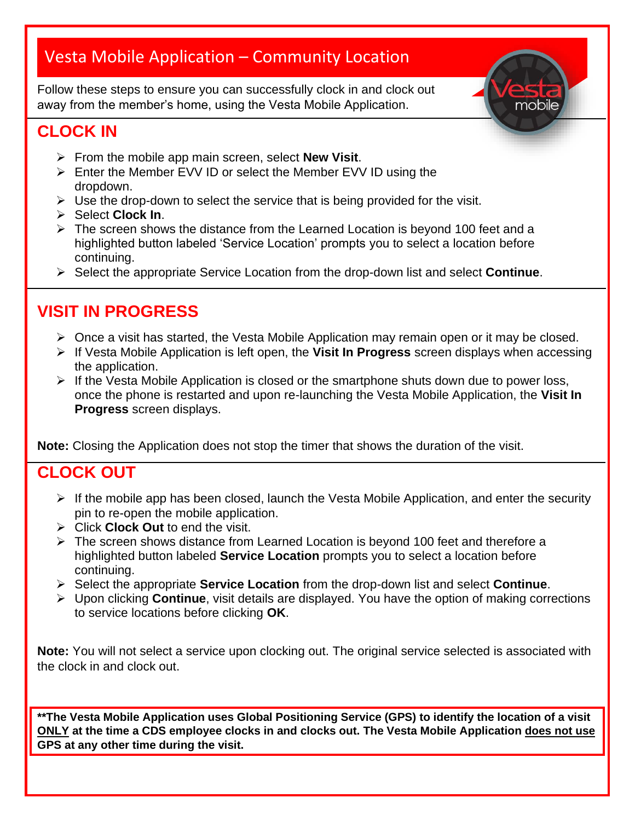# Vesta Mobile Application – Community Location

Follow these steps to ensure you can successfully clock in and clock out away from the member's home, using the Vesta Mobile Application.

### **CLOCK IN**

- ➢ From the mobile app main screen, select **New Visit**.
- ➢ Enter the Member EVV ID or select the Member EVV ID using the dropdown.
- $\triangleright$  Use the drop-down to select the service that is being provided for the visit.
- ➢ Select **Clock In**.
- ➢ The screen shows the distance from the Learned Location is beyond 100 feet and a highlighted button labeled 'Service Location' prompts you to select a location before continuing.
- ➢ Select the appropriate Service Location from the drop-down list and select **Continue**.

## **VISIT IN PROGRESS**

- ➢ Once a visit has started, the Vesta Mobile Application may remain open or it may be closed.
- ➢ If Vesta Mobile Application is left open, the **Visit In Progress** screen displays when accessing the application.

mobile

➢ If the Vesta Mobile Application is closed or the smartphone shuts down due to power loss, once the phone is restarted and upon re-launching the Vesta Mobile Application, the **Visit In Progress** screen displays.

**Note:** Closing the Application does not stop the timer that shows the duration of the visit.

### **CLOCK OUT**

- $\triangleright$  If the mobile app has been closed, launch the Vesta Mobile Application, and enter the security pin to re-open the mobile application.
- ➢ Click **Clock Out** to end the visit.
- ➢ The screen shows distance from Learned Location is beyond 100 feet and therefore a highlighted button labeled **Service Location** prompts you to select a location before continuing.
- ➢ Select the appropriate **Service Location** from the drop-down list and select **Continue**.
- ➢ Upon clicking **Continue**, visit details are displayed. You have the option of making corrections to service locations before clicking **OK**.

**Note:** You will not select a service upon clocking out. The original service selected is associated with the clock in and clock out.

**\*\*The Vesta Mobile Application uses Global Positioning Service (GPS) to identify the location of a visit ONLY at the time a CDS employee clocks in and clocks out. The Vesta Mobile Application does not use GPS at any other time during the visit.**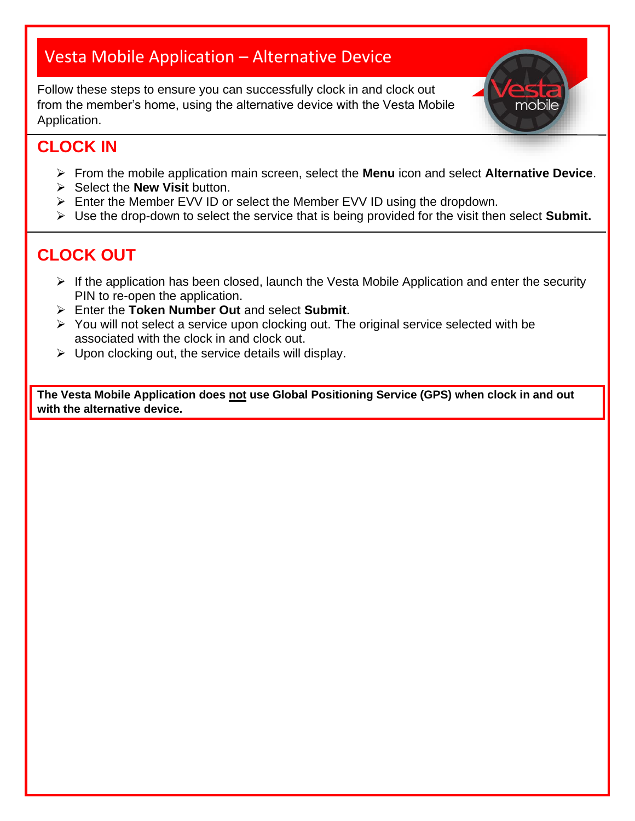# Vesta Mobile Application – Alternative Device

Follow these steps to ensure you can successfully clock in and clock out from the member's home, using the alternative device with the Vesta Mobile Application.



### **CLOCK IN**

- ➢ From the mobile application main screen, select the **Menu** icon and select **Alternative Device**.
- ➢ Select the **New Visit** button.
- ➢ Enter the Member EVV ID or select the Member EVV ID using the dropdown.
- ➢ Use the drop-down to select the service that is being provided for the visit then select **Submit.**

## **CLOCK OUT**

- $\triangleright$  If the application has been closed, launch the Vesta Mobile Application and enter the security PIN to re-open the application.
- ➢ Enter the **Token Number Out** and select **Submit**.
- ➢ You will not select a service upon clocking out. The original service selected with be associated with the clock in and clock out.
- $\triangleright$  Upon clocking out, the service details will display.

**The Vesta Mobile Application does not use Global Positioning Service (GPS) when clock in and out with the alternative device.**